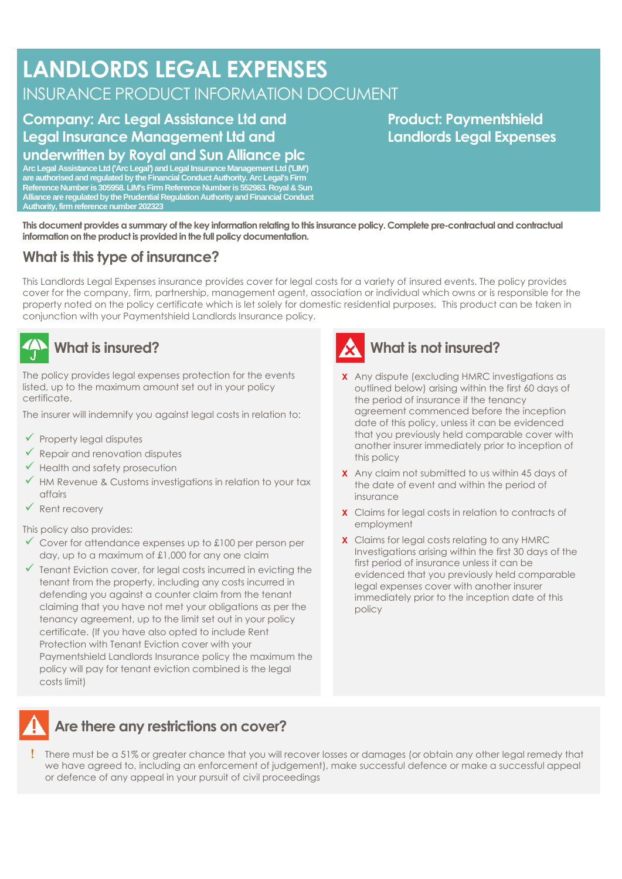# **LANDLORDS LEGAL EXPENSES** INSURANCE PRODUCT INFORMATION DOCUMENT

#### **Company: Arc Legal Assistance Ltd and Legal Insurance Management Ltd and underwritten by Royal and Sun Alliance plc**

**Arc Legal Assistance Ltd ('Arc Legal') and Legal Insurance Management Ltd ('LIM') are authorised and regulated by the Financial Conduct Authority. Arc Legal's Firm Reference Number is 305958. LIM's Firm Reference Number is 552983. Royal & Sun Alliance are regulated by the Prudential Regulation Authority and Financial Conduct Authority, firm reference number 202323**

#### **Product: Paymentshield Landlords Legal Expenses**

**This document provides a summary of the key information relating to this insurance policy. Complete pre-contractual and contractual information on the product is provided in the full policy documentation.**

### **What is this type of insurance?**

This Landlords Legal Expenses insurance provides cover for legal costs for a variety of insured events. The policy provides cover for the company, firm, partnership, management agent, association or individual which owns or is responsible for the property noted on the policy certificate which is let solely for domestic residential purposes. This product can be taken in conjunction with your Paymentshield Landlords Insurance policy.



The policy provides legal expenses protection for the events listed, up to the maximum amount set out in your policy certificate.

The insurer will indemnify you against legal costs in relation to:

- $\checkmark$  Property legal disputes
- $\checkmark$  Repair and renovation disputes
- ✓ Health and safety prosecution
- $\checkmark$  HM Revenue & Customs investigations in relation to your tax affairs
- ✓ Rent recovery

#### This policy also provides:

- $\checkmark$  Cover for attendance expenses up to £100 per person per day, up to a maximum of £1,000 for any one claim
- $\checkmark$  Tenant Eviction cover, for legal costs incurred in evicting the tenant from the property, including any costs incurred in defending you against a counter claim from the tenant claiming that you have not met your obligations as per the tenancy agreement, up to the limit set out in your policy certificate. (If you have also opted to include Rent Protection with Tenant Eviction cover with your Paymentshield Landlords Insurance policy the maximum the policy will pay for tenant eviction combined is the legal costs limit)



- **X** Any dispute (excluding HMRC investigations as outlined below) arising within the first 60 days of the period of insurance if the tenancy agreement commenced before the inception date of this policy, unless it can be evidenced that you previously held comparable cover with another insurer immediately prior to inception of this policy
- **X** Any claim not submitted to us within 45 days of the date of event and within the period of insurance
- **X** Claims for legal costs in relation to contracts of employment
- **X** Claims for legal costs relating to any HMRC Investigations arising within the first 30 days of the first period of insurance unless it can be evidenced that you previously held comparable legal expenses cover with another insurer immediately prior to the inception date of this policy



#### **Are there any restrictions on cover?**

 There must be a 51% or greater chance that you will recover losses or damages (or obtain any other legal remedy that we have agreed to, including an enforcement of judgement), make successful defence or make a successful appeal or defence of any appeal in your pursuit of civil proceedings